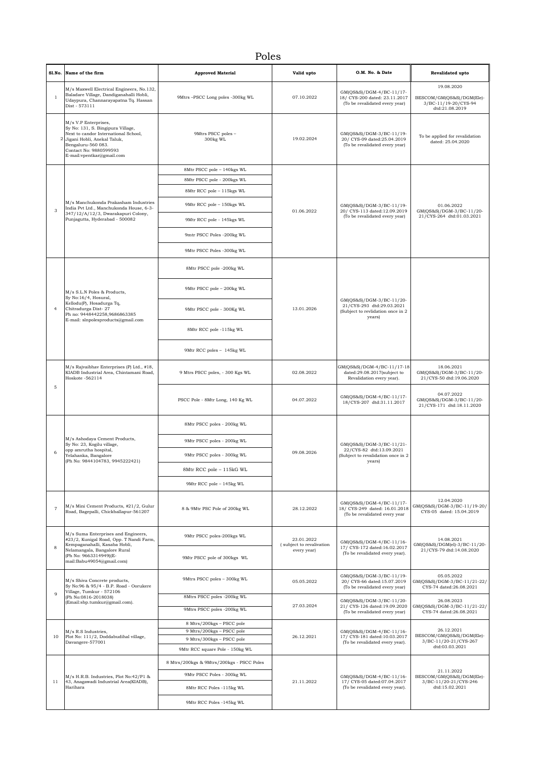## Poles

|                | Sl.No. Name of the firm                                                                                                                                                                                       | <b>Approved Material</b>                               | Valid upto                                            | O.M. No. & Date                                                                                      | Revalidated upto                                                                   |
|----------------|---------------------------------------------------------------------------------------------------------------------------------------------------------------------------------------------------------------|--------------------------------------------------------|-------------------------------------------------------|------------------------------------------------------------------------------------------------------|------------------------------------------------------------------------------------|
| $\overline{1}$ | M/s Maxwell Electrical Engineers, No.132,<br>Baladare Village, Dandiganahalli Hobli,<br>Udaypura, Channarayapatna Tq. Hassan<br>Dist - 573111                                                                 | 9Mtrs -PSCC Long poles -300kg WL                       | 07.10.2022                                            | GM(QS&S)/DGM-4/BC-11/17-<br>18/ CYS-200 dated: 23.11.2017<br>(To be revalidated every year)          | 19.08.2020<br>BESCOM/GM(QS&S)/DGM(Ele)-<br>3/BC-11/19-20/CYS-94<br>dtd:21.08.2019  |
| $\overline{2}$ | M/s V.P Enterprises,<br>Sy No: 131, S. Bingipura Village,<br>Next to candor International School,<br>Jigani Hobli, Anekal Taluk,<br>Bengaluru-560 083.<br>Contact No: 9880599593<br>E-mail:vpentkar@gmail.com | 9Mtrs PSCC poles -<br>300kg WL                         | 19.02.2024                                            | GM(QS&S)/DGM-3/BC-11/19-<br>20/ CYS-09 dated:25.04.2019<br>(To be revalidated every year)            | To be applied for revalidation<br>dated: 25.04.2020                                |
|                | M/s Manchukonda Prakasham Industries<br>India Pvt Ltd., Manchukonda House, 6-3-                                                                                                                               | 8Mtr PSCC pole - 140kgs WL                             | 01.06.2022                                            |                                                                                                      | 01.06.2022<br>GM(QS&S)/DGM-3/BC-11/20-<br>21/CYS-264 dtd:01.03.2021                |
|                |                                                                                                                                                                                                               | 8Mtr PSCC pole - 200kgs WL                             |                                                       |                                                                                                      |                                                                                    |
|                |                                                                                                                                                                                                               | 8Mtr RCC pole - 115kgs WL                              |                                                       |                                                                                                      |                                                                                    |
| 3              |                                                                                                                                                                                                               | 9Mtr RCC pole - 150kgs WL                              |                                                       | GM(QS&S)/DGM-3/BC-11/19-<br>20/ CYS-113 dated:12.09.2019                                             |                                                                                    |
|                | 347/12/A/12/3, Dwarakapuri Colony,<br>Punjagutta, Hyderabad - 500082                                                                                                                                          | 9Mtr RCC pole - 145kgs WL                              |                                                       | (To be revalidated every year)                                                                       |                                                                                    |
|                |                                                                                                                                                                                                               | 9mtr PSCC Poles -200kg WL                              |                                                       |                                                                                                      |                                                                                    |
|                |                                                                                                                                                                                                               | 9Mtr PSCC Poles -300kg WL                              |                                                       |                                                                                                      |                                                                                    |
|                |                                                                                                                                                                                                               | 8Mtr PSCC pole -200kg WL                               |                                                       |                                                                                                      |                                                                                    |
|                | M/s S.L.N Poles & Products,                                                                                                                                                                                   | 9Mtr PSCC pole - 200kg WL                              |                                                       | GM(QS&S)/DGM-3/BC-11/20-<br>21/CYS-293 dtd:29.03.2021<br>(Subject to revlidation once in 2<br>years) |                                                                                    |
| $\overline{4}$ | Sy No:16/4, Hosural,<br>Kellodu(P), Hosadurga Tq,<br>Chitradurga Dist-27<br>Ph no: 9448442258,9686863385<br>E-mail: slnpolesproducts@gmail.com                                                                | 9Mtr PSCC pole - 300Kg WL                              | 13.01.2026                                            |                                                                                                      |                                                                                    |
|                |                                                                                                                                                                                                               | 8Mtr RCC pole -115kg WL                                |                                                       |                                                                                                      |                                                                                    |
|                |                                                                                                                                                                                                               | 9Mtr RCC poles - 145kg WL                              |                                                       |                                                                                                      |                                                                                    |
|                | M/s Rajvaibhav Enterprises (P) Ltd., #18,<br>KIADB Industrial Area, Chintamani Road,<br>Hoskote -562114                                                                                                       | 9 Mtrs PSCC poles, - 300 Kgs WL                        | 02.08.2022                                            | GM(QS&S)/DGM-4/BC-11/17-18<br>dated:29.08.2017(subject to<br>Revalidation every year).               | 18.06.2021<br>GM(QS&S)/DGM-3/BC-11/20-<br>21/CYS-50 dtd:19.06.2020                 |
| 5              |                                                                                                                                                                                                               | PSCC Pole - 8Mtr Long, 140 Kg WL                       | 04.07.2022                                            | GM(QS&S)/DGM-4/BC-11/17-<br>18/CYS-207 dtd:31.11.2017                                                | 04.07.2022<br>GM(QS&S)/DGM-3/BC-11/20-<br>21/CYS-171 dtd:18.11.2020                |
|                |                                                                                                                                                                                                               | 8Mtr PSCC poles - 200kg WL                             | 09.08.2026                                            | GM(QS&S)/DGM-3/BC-11/21-<br>22/CYS-82 dtd:13.09.2021<br>(Subject to revalidation once in 2<br>years) |                                                                                    |
|                | M/s Ashodaya Cement Products,<br>Sy No: 23, Kogilu village,                                                                                                                                                   | 9Mtr PSCC poles - 200kg WL                             |                                                       |                                                                                                      |                                                                                    |
|                | opp amrutha hospital,<br>Yelahanka, Bangalore<br>(Ph No: 9844104783, 9945222421)                                                                                                                              | 9Mtr PSCC poles - 300kg WL                             |                                                       |                                                                                                      |                                                                                    |
|                |                                                                                                                                                                                                               | 8Mtr RCC pole - 115kG WL                               |                                                       |                                                                                                      |                                                                                    |
|                |                                                                                                                                                                                                               | 9Mtr RCC pole - 145kg WL                               |                                                       |                                                                                                      |                                                                                    |
| $\overline{7}$ | M/s Mini Cement Products, #21/2, Gulur<br>Road, Bagepalli, Chickballapur-561207                                                                                                                               | 8 & 9Mtr PSC Pole of 200kg WL                          | 28.12.2022                                            | GM(QS&S)/DGM-4/BC-11/17-<br>18/ CYS-249 dated: 16.01.2018<br>(To be revalidated every year           | 12.04.2020<br>GM(QS&S)/DGM-3/BC-11/19-20/<br>CYS-05 dated: 15.04.2019              |
|                | M/s Suma Enterprises and Engineers.<br>#23/2, Kunigal Road, Opp. T Nandi Farm,<br>Kempaganahalli, Kasaba Hobli,<br>Nelamangala, Bangalore Rural<br>(Ph No: 9663314949)(E-<br>mail:Babu49054@gmail.com)        | 9Mtr PSCC poles-200kgs WL                              | 23.01.2022<br>(subject to revalivation<br>every year) | GM(OS&S)/DGM-4/BC-11/16-<br>17/ CYS-172 dated:16.02.2017<br>(To be revalidated every year).          | 14.08.2021<br>GM(QS&S)/DGM(el)-3/BC-11/20-<br>21/CYS-79 dtd:14.08.2020             |
| 8              |                                                                                                                                                                                                               | 9Mtr PSCC pole of 300kgs WL                            |                                                       |                                                                                                      |                                                                                    |
|                | M/s Shiva Concrete products,<br>Sy No:96 & 95/4 - B.P. Road - Oorukere<br>Village, Tumkur - 572106                                                                                                            | 9Mtrs PSCC poles - 300kg WL                            | 05.05.2022                                            | GM(QS&S)/DGM-3/BC-11/19-<br>20/ CYS-66 dated:15.07.2019<br>(To be revalidated every year)            | 05.05.2022<br>GM(QS&S)/DGM-3/BC-11/21-22/<br>CYS-74 dated:26.08.2021               |
| $\mathbf{Q}$   | (Ph No:0816-2018038)                                                                                                                                                                                          | 8Mtrs PSCC poles -200kg WL                             |                                                       | GM(QS&S)/DGM-3/BC-11/20-<br>21/ CYS-126 dated:19.09.2020<br>(To be revalidated every year)           | 26.08.2023                                                                         |
|                | (Email:sbp.tumkur@gmail.com).                                                                                                                                                                                 | 9Mtrs PSCC poles -200kg WL                             | 27.03.2024                                            |                                                                                                      | GM(QS&S)/DGM-3/BC-11/21-22/<br>CYS-74 dated:26.08.2021                             |
|                | M/s R.S Industries,<br>Plot No: 111/2, Doddabudihal village,<br>Davangere-577001                                                                                                                              | 8 Mtrs/200kgs - PSCC pole<br>9 Mtrs/200kgs - PSCC pole | 26.12.2021                                            | GM(QS&S)/DGM-4/BC-11/16-<br>17/ CYS-181 dated:10.03.2017<br>(To be revalidated every year).          | 26.12.2021<br>BESCOM/GM(QS&S)/DGM(Ele)-<br>3/BC-11/20-21/CYS-267                   |
| 10             |                                                                                                                                                                                                               | 9 Mtrs/300kgs - PSCC pole                              |                                                       |                                                                                                      |                                                                                    |
|                |                                                                                                                                                                                                               | 9Mtr RCC square Pole - 150kg WL                        |                                                       |                                                                                                      | dtd:03.03.2021                                                                     |
|                |                                                                                                                                                                                                               | 8 Mtrs/200kgs & 9Mtrs/200kgs - PSCC Poles              |                                                       | GM(QS&S)/DGM-4/BC-11/16-<br>17/ CYS-05 dated:07.04.2017<br>(To be revalidated every year).           | 21.11.2022<br>BESCOM/GM(QS&S)/DGM(Ele)-<br>3/BC-11/20-21/CYS-246<br>dtd:15.02.2021 |
|                | M/s H.R.B. Industries, Plot No:42/P1 &<br>43, Anagawadi Industrial Area(KIADB),<br>Harihara                                                                                                                   | 9Mtr PSCC Poles - 300kg WL                             | 21.11.2022                                            |                                                                                                      |                                                                                    |
| 11             |                                                                                                                                                                                                               | 8Mtr RCC Poles -115kg WL                               |                                                       |                                                                                                      |                                                                                    |
|                |                                                                                                                                                                                                               | 9Mtr RCC Poles -145kg WL                               |                                                       |                                                                                                      |                                                                                    |
|                |                                                                                                                                                                                                               |                                                        |                                                       |                                                                                                      |                                                                                    |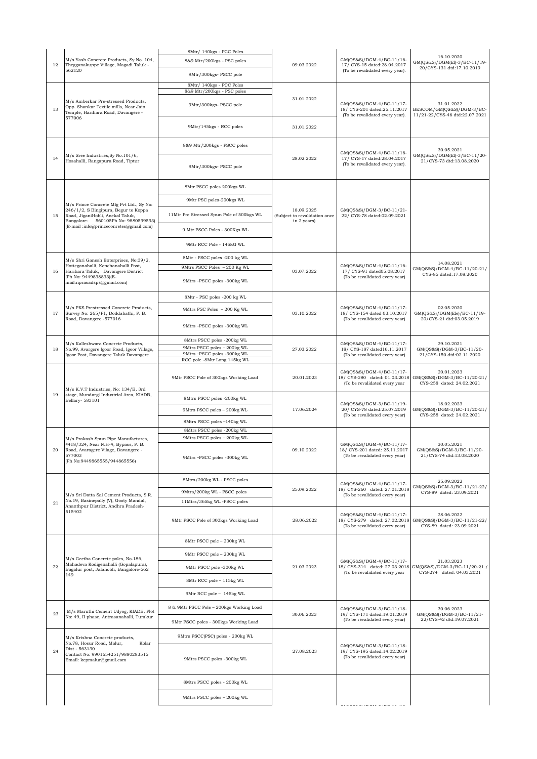| 12 | M/s Yash Concrete Products, Sy No. 104,<br>Thegganakuppe Village, Magadi Taluk -<br>562120                                                                  | 8Mtr/ 140kgs - PCC Poles<br>8&9 Mtr/200kgs - PSC poles<br>9Mtr/300kgs- PSCC pole | 09.03.2022                                                 | GM(QS&S)/DGM-4/BC-11/16-<br>17/ CYS-15 dated:28.04.2017<br>(To be revalidated every year).  | 16.10.2020<br>GM(QS&S)/DGM(El)-3/BC-11/19-<br>20/CYS-131 dtd:17.10.2019                               |
|----|-------------------------------------------------------------------------------------------------------------------------------------------------------------|----------------------------------------------------------------------------------|------------------------------------------------------------|---------------------------------------------------------------------------------------------|-------------------------------------------------------------------------------------------------------|
|    |                                                                                                                                                             | 8Mtr/ 140kgs - PCC Poles<br>8&9 Mtr/200kgs - PSC poles                           |                                                            |                                                                                             |                                                                                                       |
| 13 | M/s Amberkar Pre-stressed Products,<br>Opp. Shankar Textile mills, Near Jain<br>Temple, Harihara Road, Davangere -                                          | 9Mtr/300kgs- PSCC pole                                                           | 31.01.2022                                                 | GM(QS&S)/DGM-4/BC-11/17-<br>18/ CYS-201 dated:25.11.2017<br>(To be revalidated every year). | 31.01.2022<br>BESCOM/GM(QS&S)/DGM-3/BC-<br>11/21-22/CYS-46 dtd:22.07.2021                             |
|    | 577006                                                                                                                                                      | 9Mtr/145kgs - RCC poles                                                          | 31.01.2022                                                 |                                                                                             |                                                                                                       |
|    | M/s Sree Industries, Sy No. 101/6,<br>14<br>Hosahalli, Rangapura Road, Tiptur                                                                               | 8&9 Mtr/200kgs - PSCC poles                                                      | 28.02.2022                                                 | GM(QS&S)/DGM-4/BC-11/16-<br>17/ CYS-17 dated:28.04.2017<br>(To be revalidated every year).  | 30.05.2021<br>GM(QS&S)/DGM(El)-3/BC-11/20-                                                            |
|    |                                                                                                                                                             | 9Mtr/300kgs- PSCC pole                                                           |                                                            |                                                                                             | 21/CYS-73 dtd:13.08.2020                                                                              |
|    |                                                                                                                                                             | 8Mtr PSCC poles 200kgs WL                                                        |                                                            |                                                                                             |                                                                                                       |
|    | M/s Prince Concrete Mfg Pvt Ltd., Sy No:<br>246/1/2, S Bingipura, Begur to Koppa<br>Road, JiganiHobli, Anekal Taluk,<br>Bangalore- 560105Ph No: 9880599593) | 9Mtr PSC poles-200kgs WL                                                         | 18.09.2025<br>(Subject to revalidation once<br>in 2 years) | GM(QS&S)/DGM-3/BC-11/21-<br>22/ CYS-78 dated:02.09.2021                                     |                                                                                                       |
| 15 |                                                                                                                                                             | 11Mtr Pre Stressed Spun Pole of 500kgs WL                                        |                                                            |                                                                                             |                                                                                                       |
|    | (E-mail:info@princeconretes@gmail.com)                                                                                                                      | 9 Mtr PSCC Poles - 300Kgs WL                                                     |                                                            |                                                                                             |                                                                                                       |
|    |                                                                                                                                                             | 9Mtr RCC Pole - 145kG WL                                                         |                                                            |                                                                                             |                                                                                                       |
|    | M/s Shri Ganesh Enterprises, No:39/2,                                                                                                                       | 8Mtr - PSCC poles -200 kg WL                                                     |                                                            |                                                                                             |                                                                                                       |
| 16 | Hotteganahalli, Kenchanahalli Post,<br>Harihara Taluk, Davangere District                                                                                   | 9Mtrs PSCC Poles - 200 Kg WL                                                     | 03.07.2022                                                 | GM(QS&S)/DGM-4/BC-11/16-<br>17/ CYS-91 dated05.08.2017                                      | 14.08.2021<br>GM(QS&S)/DGM-4/BC-11/20-21/                                                             |
|    | (Ph No: 9449838833)(E-<br>mail:nprasadsps@gmail.com)                                                                                                        | 9Mtrs -PSCC poles -300kg WL                                                      |                                                            | (To be revalidated every year)                                                              | CYS-85 dated:17.08.2020                                                                               |
|    |                                                                                                                                                             | 8Mtr - PSC poles -200 kg WL                                                      |                                                            |                                                                                             |                                                                                                       |
| 17 | M/s PKS Prestressed Concrete Products,<br>Survey No: 265/P1, Doddabathi, P. B.                                                                              | 9Mtrs PSC Poles - 200 Kg WL                                                      | 03.10.2022                                                 | GM(QS&S)/DGM-4/BC-11/17-<br>18/ CYS-154 dated 03.10.2017                                    | 02.05.2020<br>GM(QS&S)/DGM(Ele)/BC-11/19-                                                             |
|    | Road, Davangere -577016                                                                                                                                     | 9Mtrs -PSCC poles -300kg WL                                                      |                                                            | (To be revalidated every year)                                                              | 20/CYS-21 dtd:03.05.2019                                                                              |
|    | M/s Kalleshwara Concrete Products,<br>No.99, Avargere Igoor Road, Igoor Village,<br>Igoor Post, Davangere Taluk Davangere                                   | 8Mtrs PSCC poles -200kg WL<br>9Mtrs PSCC poles - 200kg WL                        | 27.03.2022                                                 | GM(QS&S)/DGM-4/BC-11/17-<br>18/ CYS-187 dated16.11.2017<br>(To be revalidated every year)   | 29.10.2021                                                                                            |
| 18 |                                                                                                                                                             | 9Mtrs-PSCC poles -300kg WL<br>RCC pole -8Mtr Long 145kg WL                       |                                                            |                                                                                             | GM(QS&S)/DGM-3/BC-11/20-<br>21/CYS-150 dtd:02.11.2020                                                 |
|    | M/s K.V.T Industries, No: 134/B, 3rd<br>stage, Mundargi Industrial Area, KIADB,<br>Bellary- 583101                                                          | 9Mtr PSCC Pole of 300kgs Working Load                                            | 20.01.2023                                                 | GM(QS&S)/DGM-4/BC-11/17-<br>18/ CYS-280 dated: 01.03.2018<br>(To be revalidated every year  | 20.01.2023<br>GM(QS&S)/DGM-3/BC-11/20-21/<br>CYS-258 dated: 24.02.2021                                |
| 19 |                                                                                                                                                             | 8Mtrs PSCC poles -200kg WL                                                       | 17.06.2024                                                 | GM(QS&S)/DGM-3/BC-11/19-<br>20/ CYS-78 dated:25.07.2019<br>(To be revalidated every year)   | 18.02.2023<br>GM(QS&S)/DGM-3/BC-11/20-21/<br>CYS-258 dated: 24.02.2021                                |
|    |                                                                                                                                                             | 9Mtrs PSCC poles - 200kg WL                                                      |                                                            |                                                                                             |                                                                                                       |
|    |                                                                                                                                                             | 8Mtrs PSCC poles -140kg WL                                                       |                                                            |                                                                                             |                                                                                                       |
|    | M/s Prakash Spun Pipe Manufactures,                                                                                                                         | 8Mtrs PSCC poles -200kg WL<br>9Mtrs PSCC poles - 200kg WL                        |                                                            |                                                                                             |                                                                                                       |
| 20 | #418/324, Near N.H-4, Bypass, P. B.<br>Road, Avaragere Vilage, Davangere -<br>577003<br>(Ph No:9449865555/944865556)                                        | 9Mtrs -PSCC poles -300kg WL                                                      | 09.10.2022                                                 | GM(QS&S)/DGM-4/BC-11/17-<br>18/ CYS-201 dated: 25.11.2017<br>(To be revalidated every year) | 30.05.2021<br>GM(QS&S)/DGM-3/BC-11/20-<br>21/CYS-74 dtd:13.08.2020                                    |
|    | M/s Sri Datta Sai Cement Products, S.R.<br>No.19, Basinepally (V), Gooty Mandal,<br>Ananthpur District, Andhra Pradesh-<br>515402                           | 8Mtrs/200kg WL - PSCC poles                                                      | 25.09.2022                                                 | GM(QS&S)/DGM-4/BC-11/17-<br>18/ CYS-260 dated: 27.01.2018<br>(To be revalidated every year) | 25.09.2022<br>GM(QS&S)/DGM-3/BC-11/21-22/<br>CYS-89 dated: 23.09.2021                                 |
|    |                                                                                                                                                             | 9Mtrs/200kg WL - PSCC poles                                                      |                                                            |                                                                                             |                                                                                                       |
| 21 |                                                                                                                                                             | 11Mtrs/365kg WL-PSCC poles                                                       |                                                            |                                                                                             |                                                                                                       |
|    |                                                                                                                                                             | 9Mtr PSCC Pole of 300kgs Working Load                                            | 28.06.2022                                                 | GM(QS&S)/DGM-4/BC-11/17-<br>18/ CYS-279 dated: 27.02.2018<br>(To be revalidated every year) | 28.06.2022<br>GM(QS&S)/DGM-3/BC-11/21-22/<br>CYS-89 dated: 23.09.2021                                 |
|    |                                                                                                                                                             | 8Mtr PSCC pole - 200kg WL                                                        |                                                            | GM(QS&S)/DGM-4/BC-11/17-<br>(To be revalidated every year                                   |                                                                                                       |
|    | M/s Geetha Concrete poles, No.186,                                                                                                                          | 9Mtr PSCC pole - 200kg WL                                                        |                                                            |                                                                                             |                                                                                                       |
| 22 | Mahadeva Kodigenahalli (Gopalapura),<br>Bagalur post, Jalahobli, Bangalore-562<br>149                                                                       | 9Mtr PSCC pole -300kg WL                                                         | 21.03.2023                                                 |                                                                                             | 21.03.2023<br>18/ CYS-314 dated: 27.03.2018 GM(QS&S)/DGM-3/BC-11/20-21 /<br>CYS-274 dated: 04.03.2021 |
|    |                                                                                                                                                             | 8Mtr RCC pole - 115kg WL                                                         |                                                            |                                                                                             |                                                                                                       |
|    |                                                                                                                                                             | 9Mtr RCC pole - 145kg WL                                                         |                                                            |                                                                                             |                                                                                                       |
| 23 | M/s Maruthi Cement Udyog, KIADB, Plot<br>No: 49, II phase, Antrasanahalli, Tumkur                                                                           | 8 & 9Mtr PSCC Pole - 200kgs Working Load                                         | 30.06.2023                                                 | GM(QS&S)/DGM-3/BC-11/18-<br>19/ CYS-171 dated:19.01.2019                                    | 30.06.2023<br>GM(QS&S)/DGM-3/BC-11/21-                                                                |
|    |                                                                                                                                                             | 9Mtr PSCC poles - 300kgs Working Load                                            |                                                            | (To be revalidated every year)                                                              | 22/CYS-42 dtd:19.07.2021                                                                              |
|    | M/s Krishna Concrete products,<br>No.78, Hosur Road, Malur,<br>Kolar<br>Dist - 563130<br>Contact No: 9901654251/9880283515<br>Email: kcpmalur@gmail.com     | 9Mtrs PSCC(PSC) poles - 200kg WL                                                 |                                                            |                                                                                             |                                                                                                       |
| 24 |                                                                                                                                                             | 9Mtrs PSCC poles -300kg WL                                                       | 27.08.2023                                                 | GM(QS&S)/DGM-3/BC-11/18-<br>19/ CYS-195 dated:14.02.2019<br>(To be revalidated every year)  |                                                                                                       |
|    |                                                                                                                                                             | 8Mtrs PSCC poles - 200kg WL                                                      |                                                            |                                                                                             |                                                                                                       |
|    |                                                                                                                                                             | 9Mtrs PSCC poles - 200kg WL                                                      |                                                            |                                                                                             |                                                                                                       |
|    |                                                                                                                                                             |                                                                                  |                                                            |                                                                                             |                                                                                                       |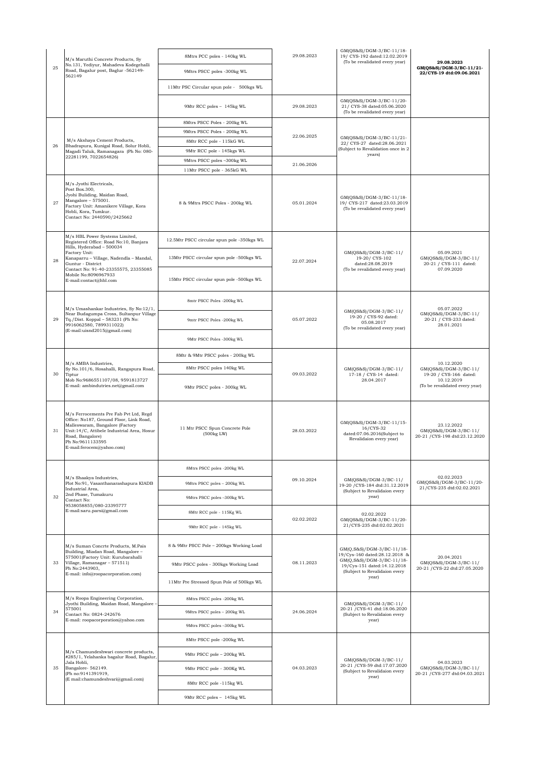|    | M/s Maruthi Concrete Products, Sy                                                                                                                                                                                                       | 8Mtrs PCC poles - 140kg WL                   | 29.08.2023 | GM(QS&S)/DGM-3/BC-11/18-<br>19/ CYS-192 dated:12.02.2019                                                                                                         |                                                                             |
|----|-----------------------------------------------------------------------------------------------------------------------------------------------------------------------------------------------------------------------------------------|----------------------------------------------|------------|------------------------------------------------------------------------------------------------------------------------------------------------------------------|-----------------------------------------------------------------------------|
| 25 | No.131, Yediyur, Mahadeva Kodegehalli<br>Road, Bagalur post, Baglur -562149-<br>562149                                                                                                                                                  | 9Mtrs PSCC poles -300kg WL                   |            | (To be revalidated every year)                                                                                                                                   | 29.08.2023<br>GM(QS&S)/DGM-3/BC-11/21-<br>22/CYS-19 dtd:09.06.2021          |
|    |                                                                                                                                                                                                                                         | 11Mtr PSC Circular spun pole - 500kgs WL     |            |                                                                                                                                                                  |                                                                             |
|    |                                                                                                                                                                                                                                         | 9Mtr RCC poles - 145kg WL                    | 29.08.2023 | GM(QS&S)/DGM-3/BC-11/20-<br>21/ CYS-38 dated:05.06.2020<br>(To be revalidated every year)                                                                        |                                                                             |
|    |                                                                                                                                                                                                                                         | 8Mtrs PSCC Poles - 200kg WL                  |            |                                                                                                                                                                  |                                                                             |
|    |                                                                                                                                                                                                                                         | 9Mtrs PSCC Poles - 200kg WL                  | 22.06.2025 |                                                                                                                                                                  |                                                                             |
| 26 | M/s Akshaya Cement Products,<br>Bhadrapura, Kunigal Road, Solur Hobli,                                                                                                                                                                  | 8Mtr RCC pole - 115kG WL                     |            | GM(QS&S)/DGM-3/BC-11/21-<br>22/ CYS-27 dated:28.06.2021                                                                                                          |                                                                             |
|    | Magadi Taluk, Ramanagara (Ph No: 080-                                                                                                                                                                                                   | 9Mtr RCC pole - 145kgs WL                    |            | (Subject to Revalidation once in 2<br>years)                                                                                                                     |                                                                             |
|    | 22281199, 7022654826)                                                                                                                                                                                                                   | 9Mtrs PSCC poles -300kg WL                   | 21.06.2026 |                                                                                                                                                                  |                                                                             |
|    |                                                                                                                                                                                                                                         | 11Mtr PSCC pole - 365kG WL                   |            |                                                                                                                                                                  |                                                                             |
| 27 | M/s Jyothi Electricals,<br>Post Box.300,<br>Jyohi Buliding, Maidan Road,<br>Mangalore - 575001.<br>Factory Unit: Amanikere Village, Kora<br>Hobli, Kora, Tumkur.<br>Contact No: 2440590/2425662                                         | 8 & 9Mtrs PSCC Poles - 200kg WL              | 05.01.2024 | GM(QS&S)/DGM-3/BC-11/18-<br>19/ CYS-217 dated:23.03.2019<br>(To be revalidated every year)                                                                       |                                                                             |
|    | M/s HBL Power Systems Limited,<br>Registered Office: Road No:10, Banjara<br>Hills, Hyderabad - 500034                                                                                                                                   | 12.5Mtr PSCC circular spun pole -350kgs WL   |            |                                                                                                                                                                  |                                                                             |
| 28 | Factory Unit:<br>Kanaparru - Village, Nadendla - Mandal,<br>Guntur - District<br>Contact No: 91-40-23355575, 23355085                                                                                                                   | 13Mtr PSCC circular spun pole -500kgs WL     | 22.07.2024 | GM(QS&S)/DGM-3/BC-11/<br>19-20/ CYS-102<br>dated:28.08.2019<br>(To be revalidated every year)                                                                    | 05.09.2021<br>GM(QS&S)/DGM-3/BC-11/<br>20-21 / CYS-111 dated:<br>07.09.2020 |
|    | Mobile No:8096967933<br>E-mail:contact@hbl.com                                                                                                                                                                                          | 15Mtr PSCC circular spun pole -500kgs WL     |            |                                                                                                                                                                  |                                                                             |
|    | M/s Umashankar Industries, Sy No:12/1,                                                                                                                                                                                                  | 8mtr PSCC Poles -200kg WL                    | 05.07.2022 | GM(QS&S)/DGM-3/BC-11/<br>19-20 / CYS-92 dated:<br>05.08.2017<br>(To be revalidated every year)                                                                   | 05.07.2022<br>GM(QS&S)/DGM-3/BC-11/<br>20-21 / CYS-233 dated:<br>28.01.2021 |
| 29 | Near Budagumpa Cross, Sultanpur Village<br>Tq./Dist. Koppal - 583231 (Ph No:<br>9916062580, 7899311022)<br>(E-mail:uisnd2015@gmail.com)                                                                                                 | 9mtr PSCC Poles -200kg WL                    |            |                                                                                                                                                                  |                                                                             |
|    |                                                                                                                                                                                                                                         | 9Mtr PSCC Poles -300kg WL                    |            |                                                                                                                                                                  |                                                                             |
|    | M/s AMBA Industries,<br>Sy No.101/6, Hosahalli, Rangapura Road,<br>Tiptur<br>Mob No:9686551107/08, 9591813727<br>E-mail: ambindutries.net@gmail.com                                                                                     | 8Mtr & 9Mtr PSCC poles - 200kg WL            | 09.03.2022 | GM(QS&S)/DGM-3/BC-11/<br>17-18 / CYS-14 dated:<br>28.04.2017                                                                                                     |                                                                             |
| 30 |                                                                                                                                                                                                                                         | 8Mtr PSCC poles 140kg WL                     |            |                                                                                                                                                                  | 10.12.2020<br>$GM(QS&S)/DGM-3/BC-11/$<br>19-20 / CYS-166 dated:             |
|    |                                                                                                                                                                                                                                         | 9Mtr PSCC poles - 300kg WL                   |            |                                                                                                                                                                  | 10.12.2019<br>(To be revalidated every year)                                |
| 31 | M/s Ferrocements Pre Fab Pvt Ltd, Regd<br>Office: No187, Ground Floor, Link Road,<br>Malleswaram, Bangalore (Factory<br>Unit:14/C, Attibele Industrial Area, Hosur<br>Road, Bangalore)<br>Ph No:9611133595<br>E-mail:ferocem@yahoo.com) | 11 Mtr PSCC Spun Concrete Pole<br>(500kg LW) | 28.03.2022 | GM(QS&S)/DGM-3/BC-11/15-<br>16/CYS-32<br>dated:07.06.2016(Subject to<br>Revalidaion every year)                                                                  | 23.12.2022<br>GM(QS&S)/DGM-3/BC-11/<br>20-21 / CYS-198 dtd:23.12.2020       |
|    | M/s Shaakva Industries.<br>Plot No:91, Vasanthanarashapura KIADB<br>Industrial Area,                                                                                                                                                    | 8Mtrs PSCC poles -200kg WL                   | 09.10.2024 | GM(QS&S)/DGM-3/BC-11/<br>19-20 / CYS-184 dtd:31.12.2019<br>(Subject to Revalidaion every<br>year)                                                                |                                                                             |
|    |                                                                                                                                                                                                                                         | 9Mtrs PSCC poles - 200kg WL                  |            |                                                                                                                                                                  | 02.02.2023<br>GM(QS&S)/DGM-3/BC-11/20-<br>21/CYS-235 dtd:02.02.2021         |
| 32 | 2nd Phase, Tumakuru<br>Contact No:                                                                                                                                                                                                      | 9Mtrs PSCC poles -300kg WL                   |            |                                                                                                                                                                  |                                                                             |
|    | 9538058855/080-23395777<br>E-mail:saru.parsi@gmail.com                                                                                                                                                                                  | 8Mtr RCC pole - 115Kg WL                     |            | 02.02.2022                                                                                                                                                       |                                                                             |
|    |                                                                                                                                                                                                                                         | 9Mtr RCC pole - 145kg WL                     | 02.02.2022 | GM(QS&S)/DGM-3/BC-11/20-<br>21/CYS-235 dtd:02.02.2021                                                                                                            |                                                                             |
|    | M/s Suman Concrte Products, M.Pais<br>Building, Miadan Road, Mangalore -<br>575001(Factory Unit: Kurubarahalli<br>Village, Ramanagar - 571511)<br>Ph No:2443903,<br>E-mail: info@roopacorporation.com)                                  | 8 & 9Mtr PSCC Pole - 200kgs Working Load     | 08.11.2023 | GM(Q,S&S)/DGM-3/BC-11/18-<br>19/Cys-160 dated:28.12.2018 &<br>GM(Q,S&S)/DGM-3/BC-11/18-<br>19/Cys-151 dated:14.12.2018<br>(Subject to Revalidaion every<br>year) |                                                                             |
| 33 |                                                                                                                                                                                                                                         | 9Mtr PSCC poles - 300kgs Working Load        |            |                                                                                                                                                                  | 20.04.2021<br>$GM(QS&S)/DGM-3/BC-11/$<br>20-21 / CYS-22 dtd:27.05.2020      |
|    |                                                                                                                                                                                                                                         | 11Mtr Pre Stressed Spun Pole of 500kgs WL    |            |                                                                                                                                                                  |                                                                             |
|    | M/s Roopa Engineering Corporation,<br>Jyothi Building, Maidan Road, Mangalore<br>575001<br>Contact No: 0824-242676<br>E-mail: roopacorporation@yahoo.com                                                                                | 8Mtrs PSCC poles -200kg WL                   | 24.06.2024 | GM(QS&S)/DGM-3/BC-11/<br>20-21 / CYS-41 dtd:18.06.2020<br>(Subject to Revalidaion every<br>year)                                                                 |                                                                             |
| 34 |                                                                                                                                                                                                                                         | 9Mtrs PSCC poles - 200kg WL                  |            |                                                                                                                                                                  |                                                                             |
|    |                                                                                                                                                                                                                                         | 9Mtrs PSCC poles -300kg WL                   |            |                                                                                                                                                                  |                                                                             |
|    | M/s Chamundeshwari concrete products,<br>#285/1, Yelahanka bagalur Road, Bagalur,<br>Jala Hobli,<br>Bangalore-562149.<br>(Ph no:9141391919,<br>(E mail:chamundeshvari@gmail.com)                                                        | 8Mtr PSCC pole -200kg WL                     | 04.03.2023 | GM(QS&S)/DGM-3/BC-11/<br>20-21 / CYS-59 dtd:17.07.2020<br>(Subject to Revalidaion every<br>year)                                                                 |                                                                             |
| 35 |                                                                                                                                                                                                                                         | 9Mtr PSCC pole - 200kg WL                    |            |                                                                                                                                                                  | 04.03.2023                                                                  |
|    |                                                                                                                                                                                                                                         | 9Mtr PSCC pole - 300Kg WL                    |            |                                                                                                                                                                  | $GM(QS&S)/DGM-3/BC-11/$<br>20-21 / CYS-277 dtd:04.03.2021                   |
|    |                                                                                                                                                                                                                                         | 8Mtr RCC pole -115kg WL                      |            |                                                                                                                                                                  |                                                                             |
|    |                                                                                                                                                                                                                                         | 9Mtr RCC poles - 145kg WL                    |            |                                                                                                                                                                  |                                                                             |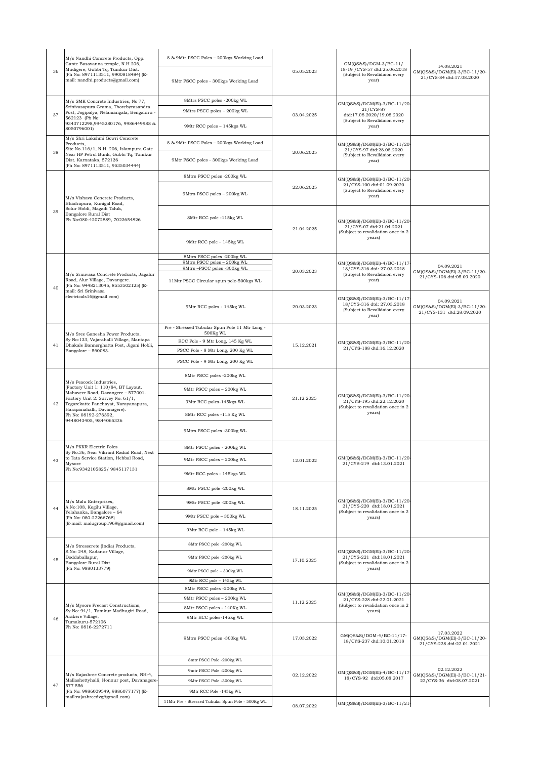|    | M/s Nandhi Concrete Products, Opp.<br>Gante Basavanna temple, N.H 206,<br>Mudigere, Gubbi Tq, Tumkur Dist.<br>(Ph No: 8971113511, 9900818484) (E-<br>mail: nandhi.products@gmail.com)            | 8 & 9Mtr PSCC Poles - 200kgs Working Load                                    |            | GM(QS&S)/DGM-3/BC-11/                                                                                     | 14.08.2021                                                              |
|----|--------------------------------------------------------------------------------------------------------------------------------------------------------------------------------------------------|------------------------------------------------------------------------------|------------|-----------------------------------------------------------------------------------------------------------|-------------------------------------------------------------------------|
| 36 |                                                                                                                                                                                                  | 9Mtr PSCC poles - 300kgs Working Load                                        | 05.05.2023 | 18-19 / CYS-57 dtd:25.06.2018<br>(Subject to Revalidaion every<br>year)                                   | GM(QS&S)/DGM(El)-3/BC-11/20-<br>21/CYS-84 dtd:17.08.2020                |
| 37 | M/s SMK Concrete Industries, No 77,<br>Srinivasapura Grama, Thorebyrasandra<br>Post, Jogipalya, Nelamangala, Bengaluru -<br>562123 (Ph No:<br>9343712298,9945280176, 9986449988 &<br>8050796001) | 8Mtrs PSCC poles -200kg WL                                                   | 03.04.2025 | GM(QS&S)/DGM(El)-3/BC-11/20-                                                                              |                                                                         |
|    |                                                                                                                                                                                                  | 9Mtrs PSCC poles - 200kg WL                                                  |            | 21/CYS-87<br>dtd:17.08.2020/19.08.2020                                                                    |                                                                         |
|    |                                                                                                                                                                                                  | 9Mtr RCC poles - 145kgs WL                                                   |            | (Subject to Revalidaion every<br>year)                                                                    |                                                                         |
|    | M/s Shri Lakshmi Gowri Concrete<br>Products.                                                                                                                                                     | 8 & 9Mtr PSCC Poles - 200kgs Working Load                                    |            | GM(QS&S)/DGM(El)-3/BC-11/20-                                                                              |                                                                         |
| 38 | Site No.116/1, N.H. 206, Islampura Gate<br>Near HP Petrol Bunk, Gubbi Tq, Tumkur<br>Dist. Karnataka, 572126<br>(Ph No: 8971113511, 9535034444)                                                   | 9Mtr PSCC poles - 300kgs Working Load                                        | 20.06.2025 | 21/CYS-97 dtd:28.08.2020<br>(Subject to Revalidaion every<br>year)                                        |                                                                         |
|    | M/s Vishava Concrete Products,<br>Bhadrapura, Kunigal Road,<br>Solur Hobli, Magadi Taluk,<br>Bangalore Rural Dist<br>Ph No:080-42072889, 7022654826                                              | 8Mtrs PSCC poles -200kg WL                                                   | 22.06.2025 | GM(QS&S)/DGM(El)-3/BC-11/20-                                                                              |                                                                         |
|    |                                                                                                                                                                                                  | 9Mtrs PSCC poles - 200kg WL                                                  |            | 21/CYS-100 dtd:01.09.2020<br>(Subject to Revalidaion every<br>year)                                       |                                                                         |
| 39 |                                                                                                                                                                                                  | 8Mtr RCC pole -115kg WL                                                      | 21.04.2025 | GM(QS&S)/DGM(El)-3/BC-11/20-<br>21/CYS-07 dtd:21.04.2021<br>(Subject to revalidation once in 2<br>years)  |                                                                         |
|    |                                                                                                                                                                                                  | 9Mtr RCC pole - 145kg WL                                                     |            |                                                                                                           |                                                                         |
|    |                                                                                                                                                                                                  | 8Mtrs PSCC poles -200kg WL<br>9Mtrs PSCC poles - 200kg WL                    |            | GM(QS&S)/DGM(El)-4/BC-11/17                                                                               |                                                                         |
|    | M/s Srinivasa Concrete Products, Jagalur                                                                                                                                                         | 9Mtrs-PSCC poles -300kg WL                                                   | 20.03.2023 | 18/CYS-316 dtd: 27.03.2018<br>(Subject to Revalidaion every                                               | 04.09.2021<br>GM(QS&S)/DGM(El)-3/BC-11/20-                              |
| 40 | Road, Alur Village, Davangere.<br>(Ph No: 9448213045, 8553502125) (E-                                                                                                                            | 11Mtr PSCC Circular spun pole-500kgs WL                                      |            | year)                                                                                                     | 21/CYS-106 dtd:05.09.2020                                               |
|    | mail: Sri Srinivasa<br>electricals 16@gmail.com)                                                                                                                                                 | 9Mtr RCC poles - 145kg WL                                                    | 20.03.2023 | GM(QS&S)/DGM(El)-3/BC-11/17<br>18/CYS-316 dtd: 27.03.2018<br>(Subject to Revalidaion every<br>year)       | 04.09.2021<br>GM(QS&S)/DGM(El)-3/BC-11/20-<br>21/CYS-131 dtd:28.09.2020 |
|    |                                                                                                                                                                                                  | Pre - Stressed Tubular Spun Pole 11 Mtr Long -<br>500Kg WL                   | 15.12.2021 | GM(QS&S)/DGM(El)-3/BC-11/20-<br>21/CYS-188 dtd:16.12.2020                                                 |                                                                         |
| 41 | M/s Sree Ganesha Power Products,<br>Sy No:133, Vajarahalli Village, Mantapa<br>Dhakale Bannerghatta Post, Jigani Hobli,                                                                          | RCC Pole - 9 Mtr Long, 145 Kg WL                                             |            |                                                                                                           |                                                                         |
|    | Bangalore - 560083.                                                                                                                                                                              | PSCC Pole - 8 Mtr Long, 200 Kg WL                                            |            |                                                                                                           |                                                                         |
|    |                                                                                                                                                                                                  | PSCC Pole - 9 Mtr Long, 200 Kg WL                                            |            |                                                                                                           |                                                                         |
|    | M/s Peacock Industries,                                                                                                                                                                          | 8Mtr PSCC poles -200kg WL                                                    | 21.12.2025 | GM(QS&S)/DGM(El)-3/BC-11/20-<br>21/CYS-195 dtd:22.12.2020<br>(Subject to revalidation once in 2<br>years) |                                                                         |
|    | (Factory Unit 1: 110/84, BT Layout,<br>Mahaveer Road, Davangere - 577001.                                                                                                                        | 9Mtr PSCC poles - 200kg WL                                                   |            |                                                                                                           |                                                                         |
| 42 | Factory Unit 2: Survey No. 61/1,<br>Togarekatte Panchayat, Narayanapura,                                                                                                                         | 9Mtr RCC poles-145kgs WL                                                     |            |                                                                                                           |                                                                         |
|    | Harapanahalli, Davanagere).<br>Ph No: 08192-276392,                                                                                                                                              | 8Mtr RCC poles -115 Kg WL                                                    |            |                                                                                                           |                                                                         |
|    | 9448043405, 9844065336                                                                                                                                                                           | 9Mtrs PSCC poles -300kg WL                                                   |            |                                                                                                           |                                                                         |
|    | M/s PKKR Electric Poles<br>Sy No.36, Near Vikrant Radial Road, Next                                                                                                                              | 8Mtr PSCC poles - 200kg WL                                                   | 12.01.2022 | GM(QS&S)/DGM(El)-3/BC-11/20-<br>21/CYS-219 dtd:13.01.2021                                                 |                                                                         |
| 43 | to Tata Service Station, Hebbal Road,<br>Mysore                                                                                                                                                  | 9Mtr PSCC poles - 200kg WL                                                   |            |                                                                                                           |                                                                         |
|    | Ph No:9342105825/ 9845117131                                                                                                                                                                     | 9Mtr RCC poles - 145kgs WL                                                   |            |                                                                                                           |                                                                         |
|    |                                                                                                                                                                                                  | 8Mtr PSCC pole -200kg WL                                                     |            | GM(QS&S)/DGM(El)-3/BC-11/20-<br>21/CYS-220 dtd:18.01.2021<br>(Subject to revalidation once in 2<br>years) |                                                                         |
|    | M/s Malu Enterprises,                                                                                                                                                                            | 9Mtr PSCC pole -200kg WL                                                     |            |                                                                                                           |                                                                         |
| 44 | A.No:108, Kogilu Village,<br>Yelahanka, Bangalore - 64                                                                                                                                           | 9Mtr PSCC pole - 300kg WL                                                    | 18.11.2025 |                                                                                                           |                                                                         |
|    | (Ph No: 080-22266768)<br>(E-mail: malugroup1969@gmail.com)                                                                                                                                       | 9Mtr RCC pole - 145kg WL                                                     |            |                                                                                                           |                                                                         |
|    |                                                                                                                                                                                                  |                                                                              |            |                                                                                                           |                                                                         |
|    | M/s Stresscrete (India) Products,<br>S.No: 248, Kadanur Village,<br>Doddaballapur,<br>Bangalore Rural Dist<br>(Ph No: 9880133779)                                                                | 8Mtr PSCC pole -200kg WL                                                     |            | GM(QS&S)/DGM(El)-3/BC-11/20                                                                               |                                                                         |
| 45 |                                                                                                                                                                                                  | 9Mtr PSCC pole -200kg WL                                                     | 17.10.2025 | 21/CYS-221 dtd:18.01.2021<br>(Subject to revalidation once in 2<br>years)                                 |                                                                         |
|    |                                                                                                                                                                                                  | 9Mtr PSCC pole - 300kg WL<br>9Mtr RCC pole - 145kg WL                        |            |                                                                                                           |                                                                         |
| 46 | M/s Mysore Precast Constructions,<br>Sy No: 94/1, Tumkur Madhugiri Road,<br>Arakere Village,<br>Tumakuru-572106<br>Ph No: 0816-2272711                                                           | 8Mtr PSCC poles -200kg WL                                                    | 11.12.2025 | GM(QS&S)/DGM(El)-3/BC-11/20-<br>21/CYS-228 dtd:22.01.2021<br>(Subject to revalidation once in 2<br>years) |                                                                         |
|    |                                                                                                                                                                                                  | 9Mtr PSCC poles - 200kg WL                                                   |            |                                                                                                           |                                                                         |
|    |                                                                                                                                                                                                  | 8Mtr PSCC poles - 140Kg WL                                                   |            |                                                                                                           |                                                                         |
|    |                                                                                                                                                                                                  | 9Mtr RCC poles-145kg WL                                                      |            |                                                                                                           |                                                                         |
|    |                                                                                                                                                                                                  | 9Mtrs PSCC poles -300kg WL                                                   | 17.03.2022 | GM(QS&S)/DGM-4/BC-11/17-<br>18/CYS-237 dtd:10.01.2018                                                     | 17.03.2022<br>GM(QS&S)/DGM(El)-3/BC-11/20-<br>21/CYS-228 dtd:22.01.2021 |
|    |                                                                                                                                                                                                  | 8mtr PSCC Pole -200kg WL                                                     | 02.12.2022 | GM(QS&S)/DGM(El)-4/BC-11/17<br>18/CYS-92 dtd:05.08.2017                                                   |                                                                         |
|    | M/s Rajashree Concrete products, NH-4,                                                                                                                                                           | 9mtr PSCC Pole -200kg WL                                                     |            |                                                                                                           | 02.12.2022<br>GM(QS&S)/DGM(El)-3/BC-11/21-                              |
| 47 | Mallashettyhalli, Honnur post, Davanagere-<br>577 556                                                                                                                                            | 9Mtr PSCC Pole -300kg WL                                                     |            |                                                                                                           | 22/CYS-36 dtd:08.07.2021                                                |
|    | (Ph No: 9986009549, 9886077177) (E-<br>mail:rajashreedvg@gmail.com)                                                                                                                              | 9Mtr RCC Pole -145kg WL<br>11Mtr Pre - Stressed Tubular Spun Pole - 500Kg WL |            |                                                                                                           |                                                                         |
|    |                                                                                                                                                                                                  |                                                                              | 08 07 2022 | GM(QS&S)/DGM(El)-3/BC-11/21-                                                                              |                                                                         |